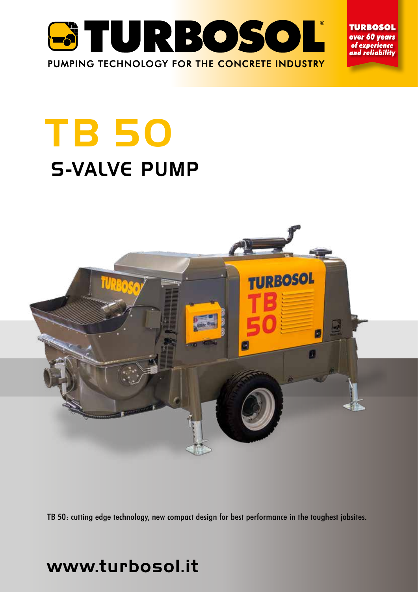

**TURBOSOL** over 60 years of experience and reliability

# **TB 50** S-VALVE PUMP



TB 50: cutting edge technology, new compact design for best performance in the toughest jobsites.

# www.turbosol.it